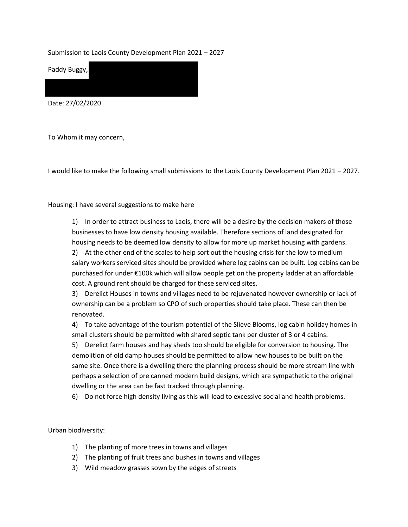Submission to Laois County Development Plan 2021 – 2027

Paddy Buggy,

Date: 27/02/2020

To Whom it may concern,

I would like to make the following small submissions to the Laois County Development Plan 2021 – 2027.

Housing: I have several suggestions to make here

1) In order to attract business to Laois, there will be a desire by the decision makers of those businesses to have low density housing available. Therefore sections of land designated for housing needs to be deemed low density to allow for more up market housing with gardens.

2) At the other end of the scales to help sort out the housing crisis for the low to medium salary workers serviced sites should be provided where log cabins can be built. Log cabins can be purchased for under €100k which will allow people get on the property ladder at an affordable cost. A ground rent should be charged for these serviced sites.

3) Derelict Houses in towns and villages need to be rejuvenated however ownership or lack of ownership can be a problem so CPO of such properties should take place. These can then be renovated.

4) To take advantage of the tourism potential of the Slieve Blooms, log cabin holiday homes in small clusters should be permitted with shared septic tank per cluster of 3 or 4 cabins.

5) Derelict farm houses and hay sheds too should be eligible for conversion to housing. The demolition of old damp houses should be permitted to allow new houses to be built on the same site. Once there is a dwelling there the planning process should be more stream line with perhaps a selection of pre canned modern build designs, which are sympathetic to the original dwelling or the area can be fast tracked through planning.

6) Do not force high density living as this will lead to excessive social and health problems.

Urban biodiversity:

- 1) The planting of more trees in towns and villages
- 2) The planting of fruit trees and bushes in towns and villages
- 3) Wild meadow grasses sown by the edges of streets